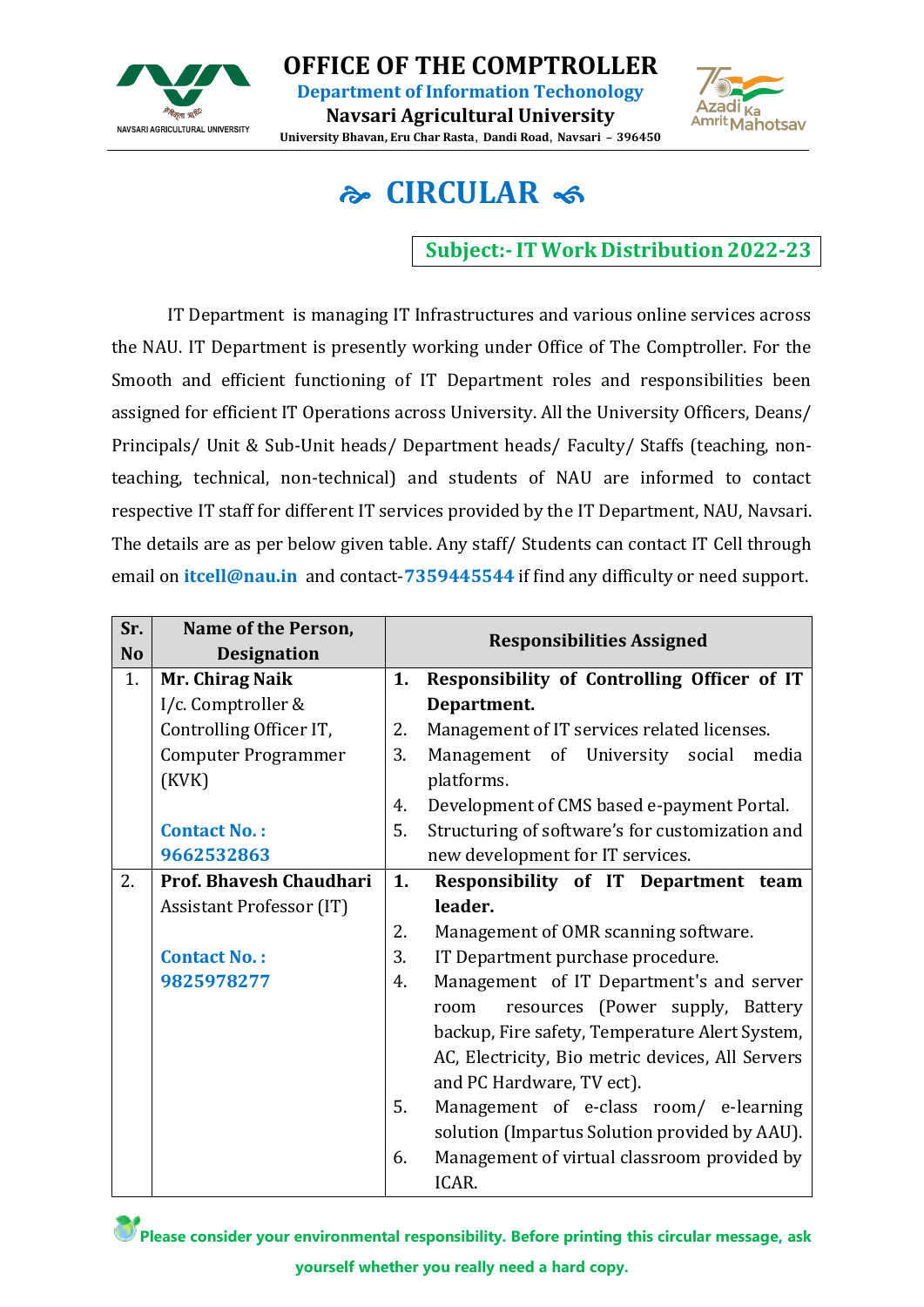

**OFFICE OF THE COMPTROLLER Department of Information Techonology**

**Navsari Agricultural University University Bhavan, Eru Char Rasta, Dandi Road, Navsari – 396450**



## **CIRCULAR**

**Subject:-IT Work Distribution 2022-23**

IT Department is managing IT Infrastructures and various online services across the NAU. IT Department is presently working under Office of The Comptroller. For the Smooth and efficient functioning of IT Department roles and responsibilities been assigned for efficient IT Operations across University. All the University Officers, Deans/ Principals/ Unit & Sub-Unit heads/ Department heads/ Faculty/ Staffs (teaching, nonteaching, technical, non-technical) and students of NAU are informed to contact respective IT staff for different IT services provided by the IT Department, NAU, Navsari. The details are as per below given table. Any staff/ Students can contact IT Cell through email on **itcell@nau.in** and contact-**7359445544** if find any difficulty or need support.

| Sr.<br><b>No</b> | Name of the Person,<br><b>Designation</b> |    | <b>Responsibilities Assigned</b>                 |
|------------------|-------------------------------------------|----|--------------------------------------------------|
| 1.               | Mr. Chirag Naik                           | 1. | Responsibility of Controlling Officer of IT      |
|                  | I/c. Comptroller &                        |    | Department.                                      |
|                  | Controlling Officer IT,                   | 2. | Management of IT services related licenses.      |
|                  | <b>Computer Programmer</b>                | 3. | Management of University social<br>media         |
|                  | (KVK)                                     |    | platforms.                                       |
|                  |                                           | 4. | Development of CMS based e-payment Portal.       |
|                  | <b>Contact No.:</b>                       | 5. | Structuring of software's for customization and  |
|                  | 9662532863                                |    | new development for IT services.                 |
| 2.               | Prof. Bhavesh Chaudhari                   | 1. | Responsibility of IT Department team             |
|                  | Assistant Professor (IT)                  |    | leader.                                          |
|                  |                                           | 2. | Management of OMR scanning software.             |
|                  | <b>Contact No.:</b>                       | 3. | IT Department purchase procedure.                |
|                  | 9825978277                                | 4. | Management of IT Department's and server         |
|                  |                                           |    | resources (Power supply, Battery<br>room         |
|                  |                                           |    | backup, Fire safety, Temperature Alert System,   |
|                  |                                           |    | AC, Electricity, Bio metric devices, All Servers |
|                  |                                           |    | and PC Hardware, TV ect).                        |
|                  |                                           | 5. | Management of e-class room/ e-learning           |
|                  |                                           |    | solution (Impartus Solution provided by AAU).    |
|                  |                                           | 6. | Management of virtual classroom provided by      |
|                  |                                           |    | ICAR.                                            |

Please consider your environmental responsibility. Before printing this circular message, ask **yourself whether you really need a hard copy.**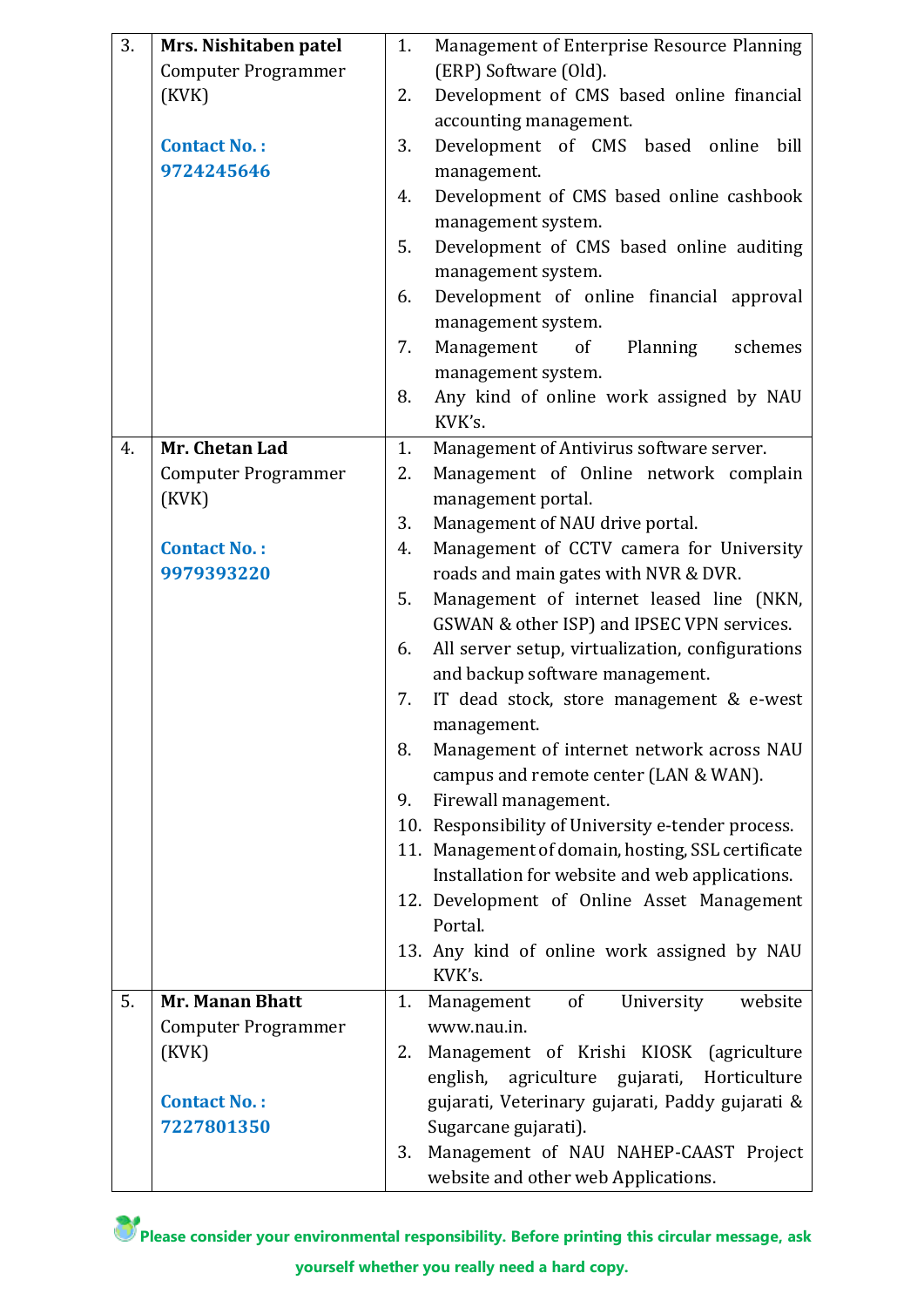| 3. | Mrs. Nishitaben patel             | 1. | Management of Enterprise Resource Planning                                       |
|----|-----------------------------------|----|----------------------------------------------------------------------------------|
|    | <b>Computer Programmer</b>        |    | (ERP) Software (Old).                                                            |
|    | (KVK)                             | 2. | Development of CMS based online financial                                        |
|    |                                   |    | accounting management.                                                           |
|    | <b>Contact No.:</b>               | 3. | Development of CMS based online bill                                             |
|    | 9724245646                        |    | management.                                                                      |
|    |                                   | 4. | Development of CMS based online cashbook                                         |
|    |                                   |    | management system.                                                               |
|    |                                   | 5. | Development of CMS based online auditing                                         |
|    |                                   |    | management system.                                                               |
|    |                                   | 6. | Development of online financial approval                                         |
|    |                                   |    | management system.                                                               |
|    |                                   | 7. | Management<br>of<br>Planning<br>schemes                                          |
|    |                                   |    | management system.                                                               |
|    |                                   | 8. | Any kind of online work assigned by NAU                                          |
|    |                                   |    | KVK's.                                                                           |
| 4. | Mr. Chetan Lad                    | 1. | Management of Antivirus software server.                                         |
|    | <b>Computer Programmer</b>        | 2. | Management of Online network complain                                            |
|    | (KVK)                             |    | management portal.                                                               |
|    |                                   | 3. | Management of NAU drive portal.                                                  |
|    | <b>Contact No.:</b><br>9979393220 | 4. | Management of CCTV camera for University<br>roads and main gates with NVR & DVR. |
|    |                                   | 5. | Management of internet leased line (NKN,                                         |
|    |                                   |    | GSWAN & other ISP) and IPSEC VPN services.                                       |
|    |                                   | 6. | All server setup, virtualization, configurations                                 |
|    |                                   |    | and backup software management.                                                  |
|    |                                   | 7. | IT dead stock, store management & e-west                                         |
|    |                                   |    | management.                                                                      |
|    |                                   | 8. | Management of internet network across NAU                                        |
|    |                                   |    | campus and remote center (LAN & WAN).                                            |
|    |                                   | 9. | Firewall management.                                                             |
|    |                                   |    | 10. Responsibility of University e-tender process.                               |
|    |                                   |    | 11. Management of domain, hosting, SSL certificate                               |
|    |                                   |    | Installation for website and web applications.                                   |
|    |                                   |    | 12. Development of Online Asset Management                                       |
|    |                                   |    | Portal.                                                                          |
|    |                                   |    | 13. Any kind of online work assigned by NAU                                      |
|    |                                   |    | KVK's.                                                                           |
| 5. | <b>Mr. Manan Bhatt</b>            | 1. | of<br>University<br>Management<br>website                                        |
|    | <b>Computer Programmer</b>        |    | www.nau.in.                                                                      |
|    | (KVK)                             | 2. | Management of Krishi KIOSK (agriculture                                          |
|    |                                   |    | agriculture gujarati, Horticulture<br>english,                                   |
|    | <b>Contact No.:</b>               |    | gujarati, Veterinary gujarati, Paddy gujarati &                                  |
|    | 7227801350                        |    | Sugarcane gujarati).                                                             |
|    |                                   | 3. | Management of NAU NAHEP-CAAST Project                                            |
|    |                                   |    | website and other web Applications.                                              |

Please consider your environmental responsibility. Before printing this circular message, ask **yourself whether you really need a hard copy.**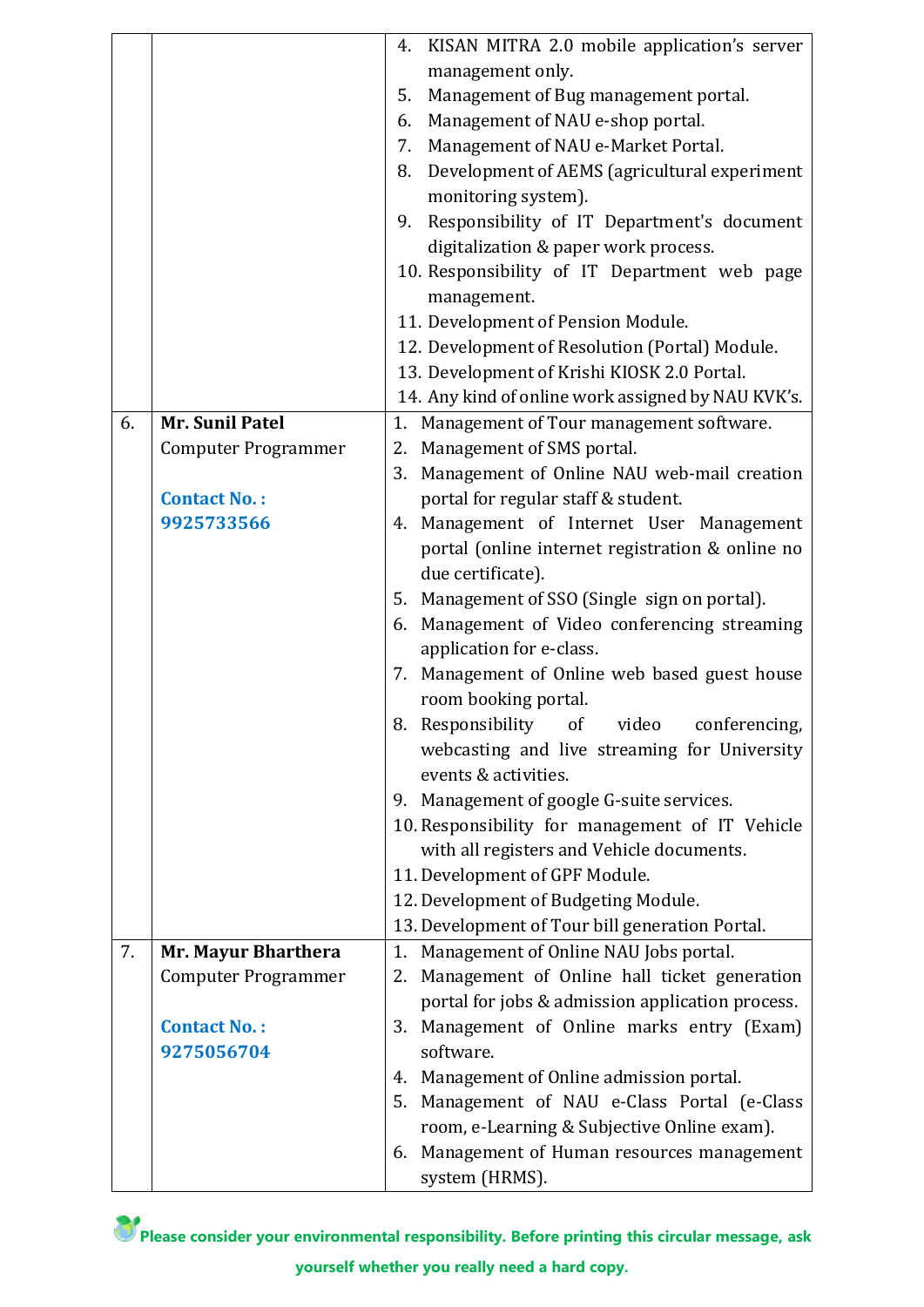|    |                            | 4. KISAN MITRA 2.0 mobile application's server                        |
|----|----------------------------|-----------------------------------------------------------------------|
|    |                            | management only.                                                      |
|    |                            | Management of Bug management portal.<br>5.                            |
|    |                            | Management of NAU e-shop portal.<br>6.                                |
|    |                            | Management of NAU e-Market Portal.<br>7.                              |
|    |                            | Development of AEMS (agricultural experiment<br>8.                    |
|    |                            | monitoring system).                                                   |
|    |                            | Responsibility of IT Department's document<br>9.                      |
|    |                            | digitalization & paper work process.                                  |
|    |                            | 10. Responsibility of IT Department web page                          |
|    |                            | management.                                                           |
|    |                            | 11. Development of Pension Module.                                    |
|    |                            | 12. Development of Resolution (Portal) Module.                        |
|    |                            | 13. Development of Krishi KIOSK 2.0 Portal.                           |
|    |                            |                                                                       |
| 6. | Mr. Sunil Patel            | 14. Any kind of online work assigned by NAU KVK's.                    |
|    |                            | 1. Management of Tour management software.                            |
|    | <b>Computer Programmer</b> | 2. Management of SMS portal.                                          |
|    |                            | 3. Management of Online NAU web-mail creation                         |
|    | <b>Contact No.:</b>        | portal for regular staff & student.                                   |
|    | 9925733566                 | 4. Management of Internet User Management                             |
|    |                            | portal (online internet registration & online no                      |
|    |                            | due certificate).                                                     |
|    |                            | 5. Management of SSO (Single sign on portal).                         |
|    |                            | 6. Management of Video conferencing streaming                         |
|    |                            | application for e-class.                                              |
|    |                            | 7. Management of Online web based guest house<br>room booking portal. |
|    |                            | 8. Responsibility of video conferencing,                              |
|    |                            | webcasting and live streaming for University                          |
|    |                            | events & activities.                                                  |
|    |                            | 9. Management of google G-suite services.                             |
|    |                            | 10. Responsibility for management of IT Vehicle                       |
|    |                            | with all registers and Vehicle documents.                             |
|    |                            | 11. Development of GPF Module.                                        |
|    |                            | 12. Development of Budgeting Module.                                  |
|    |                            | 13. Development of Tour bill generation Portal.                       |
| 7. | Mr. Mayur Bharthera        | Management of Online NAU Jobs portal.<br>1.                           |
|    | <b>Computer Programmer</b> | 2. Management of Online hall ticket generation                        |
|    |                            | portal for jobs & admission application process.                      |
|    | <b>Contact No.:</b>        | 3. Management of Online marks entry (Exam)                            |
|    | 9275056704                 | software.                                                             |
|    |                            | 4. Management of Online admission portal.                             |
|    |                            | 5. Management of NAU e-Class Portal (e-Class                          |
|    |                            | room, e-Learning & Subjective Online exam).                           |
|    |                            | 6. Management of Human resources management                           |
|    |                            | system (HRMS).                                                        |

Please consider your environmental responsibility. Before printing this circular message, ask **yourself whether you really need a hard copy.**